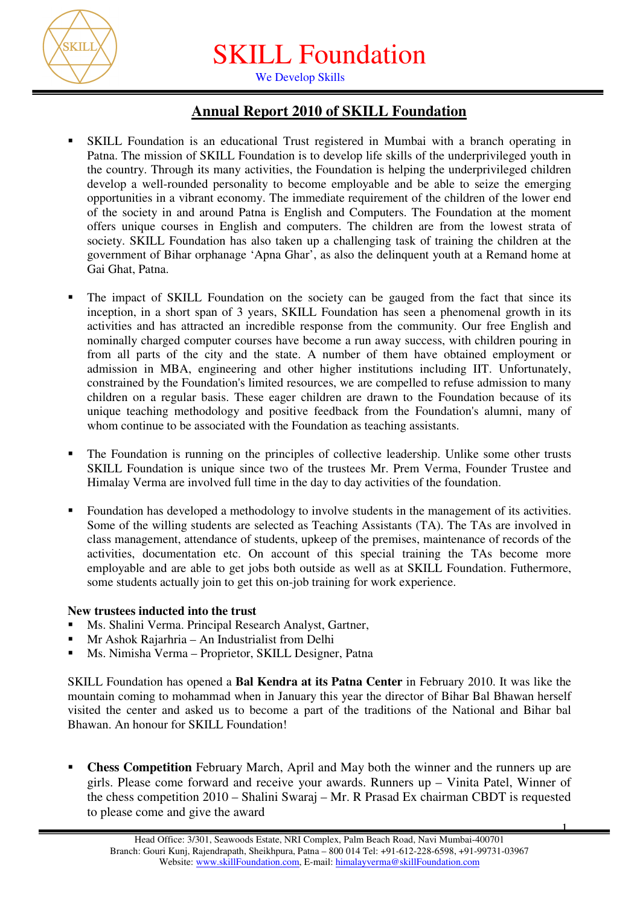

SKILL Foundation

We Develop Skills

## **Annual Report 2010 of SKILL Foundation**

- SKILL Foundation is an educational Trust registered in Mumbai with a branch operating in Patna. The mission of SKILL Foundation is to develop life skills of the underprivileged youth in the country. Through its many activities, the Foundation is helping the underprivileged children develop a well-rounded personality to become employable and be able to seize the emerging opportunities in a vibrant economy. The immediate requirement of the children of the lower end of the society in and around Patna is English and Computers. The Foundation at the moment offers unique courses in English and computers. The children are from the lowest strata of society. SKILL Foundation has also taken up a challenging task of training the children at the government of Bihar orphanage 'Apna Ghar', as also the delinquent youth at a Remand home at Gai Ghat, Patna.
- The impact of SKILL Foundation on the society can be gauged from the fact that since its inception, in a short span of 3 years, SKILL Foundation has seen a phenomenal growth in its activities and has attracted an incredible response from the community. Our free English and nominally charged computer courses have become a run away success, with children pouring in from all parts of the city and the state. A number of them have obtained employment or admission in MBA, engineering and other higher institutions including IIT. Unfortunately, constrained by the Foundation's limited resources, we are compelled to refuse admission to many children on a regular basis. These eager children are drawn to the Foundation because of its unique teaching methodology and positive feedback from the Foundation's alumni, many of whom continue to be associated with the Foundation as teaching assistants.
- The Foundation is running on the principles of collective leadership. Unlike some other trusts SKILL Foundation is unique since two of the trustees Mr. Prem Verma, Founder Trustee and Himalay Verma are involved full time in the day to day activities of the foundation.
- Foundation has developed a methodology to involve students in the management of its activities. Some of the willing students are selected as Teaching Assistants (TA). The TAs are involved in class management, attendance of students, upkeep of the premises, maintenance of records of the activities, documentation etc. On account of this special training the TAs become more employable and are able to get jobs both outside as well as at SKILL Foundation. Futhermore, some students actually join to get this on-job training for work experience.

## **New trustees inducted into the trust**

- Ms. Shalini Verma. Principal Research Analyst, Gartner,
- Mr Ashok Rajarhria An Industrialist from Delhi
- Ms. Nimisha Verma Proprietor, SKILL Designer, Patna

SKILL Foundation has opened a **Bal Kendra at its Patna Center** in February 2010. It was like the mountain coming to mohammad when in January this year the director of Bihar Bal Bhawan herself visited the center and asked us to become a part of the traditions of the National and Bihar bal Bhawan. An honour for SKILL Foundation!

 **Chess Competition** February March, April and May both the winner and the runners up are girls. Please come forward and receive your awards. Runners up – Vinita Patel, Winner of the chess competition 2010 – Shalini Swaraj – Mr. R Prasad Ex chairman CBDT is requested to please come and give the award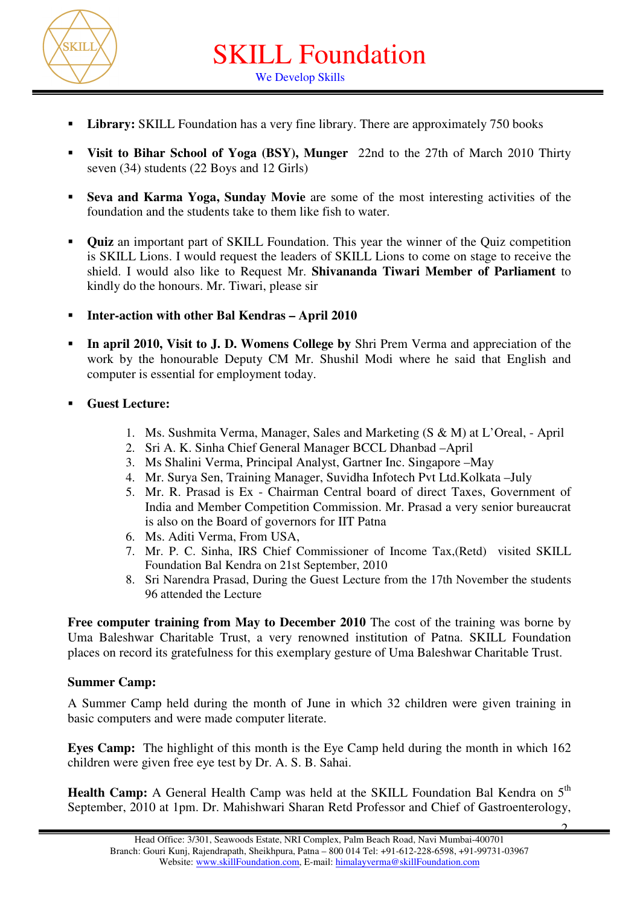

SKILL Foundation We Develop Skills

- Library: **SKILL** Foundation has a very fine library. There are approximately 750 books
- **Visit to Bihar School of Yoga (BSY), Munger** 22nd to the 27th of March 2010 Thirty seven (34) students (22 Boys and 12 Girls)
- **Seva and Karma Yoga, Sunday Movie** are some of the most interesting activities of the foundation and the students take to them like fish to water.
- **Quiz** an important part of SKILL Foundation. This year the winner of the Quiz competition is SKILL Lions. I would request the leaders of SKILL Lions to come on stage to receive the shield. I would also like to Request Mr. **Shivananda Tiwari Member of Parliament** to kindly do the honours. Mr. Tiwari, please sir
- **Inter-action with other Bal Kendras April 2010**
- **In april 2010, Visit to J. D. Womens College by** Shri Prem Verma and appreciation of the work by the honourable Deputy CM Mr. Shushil Modi where he said that English and computer is essential for employment today.
- **Guest Lecture:**
	- 1. Ms. Sushmita Verma, Manager, Sales and Marketing (S & M) at L'Oreal, April
	- 2. Sri A. K. Sinha Chief General Manager BCCL Dhanbad –April
	- 3. Ms Shalini Verma, Principal Analyst, Gartner Inc. Singapore –May
	- 4. Mr. Surya Sen, Training Manager, Suvidha Infotech Pvt Ltd.Kolkata –July
	- 5. Mr. R. Prasad is Ex Chairman Central board of direct Taxes, Government of India and Member Competition Commission. Mr. Prasad a very senior bureaucrat is also on the Board of governors for IIT Patna
	- 6. Ms. Aditi Verma, From USA,
	- 7. Mr. P. C. Sinha, IRS Chief Commissioner of Income Tax,(Retd) visited SKILL Foundation Bal Kendra on 21st September, 2010
	- 8. Sri Narendra Prasad, During the Guest Lecture from the 17th November the students 96 attended the Lecture

**Free computer training from May to December 2010** The cost of the training was borne by Uma Baleshwar Charitable Trust, a very renowned institution of Patna. SKILL Foundation places on record its gratefulness for this exemplary gesture of Uma Baleshwar Charitable Trust.

## **Summer Camp:**

A Summer Camp held during the month of June in which 32 children were given training in basic computers and were made computer literate.

**Eves Camp:** The highlight of this month is the Eve Camp held during the month in which 162 children were given free eye test by Dr. A. S. B. Sahai.

**Health Camp:** A General Health Camp was held at the SKILL Foundation Bal Kendra on 5<sup>th</sup> September, 2010 at 1pm. Dr. Mahishwari Sharan Retd Professor and Chief of Gastroenterology,